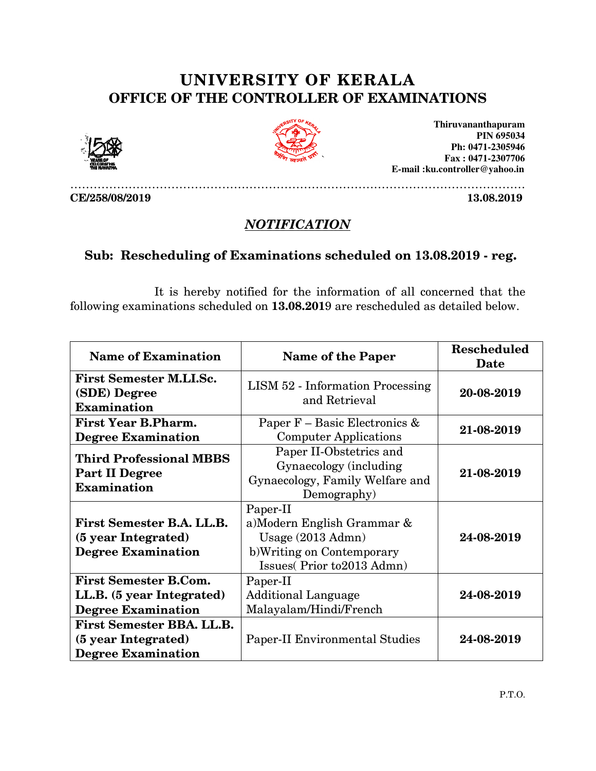## UNIVERSITY OF KERALA OF OFFICE OF THE CONTROLLER OF EXAMINATIONS OFFICE OF





………………………………………………………………………………………………………

**Thiruvananthapuram Fax : 0471 Fax : 0471-2307706 E-mail :ku.controller@yahoo.in mail PIN 695034 Ph: 0471-2305946** 

CE/258/08/2019

13.08.2019

## **NOTIFICATION**

## Sub: Rescheduling of Examinations scheduled on 13 13.08 8.2019 - reg.

 It is hereby notified for the information of all concerned that the following examinations scheduled on  $13.08.2019$  are rescheduled as detailed below.

| <b>Name of Examination</b>                                                             | <b>Name of the Paper</b>                                                                                              | <b>Rescheduled</b><br>Date |
|----------------------------------------------------------------------------------------|-----------------------------------------------------------------------------------------------------------------------|----------------------------|
| <b>First Semester M.LI.Sc.</b><br>(SDE) Degree<br><b>Examination</b>                   | <b>LISM 52 - Information Processing</b><br>and Retrieval                                                              | 20-08-2019                 |
| <b>First Year B.Pharm.</b><br><b>Degree Examination</b>                                | Paper F – Basic Electronics &<br><b>Computer Applications</b>                                                         | 21-08-2019                 |
| <b>Third Professional MBBS</b><br><b>Part II Degree</b><br><b>Examination</b>          | Paper II-Obstetrics and<br>Gynaecology (including<br>Gynaecology, Family Welfare and<br>Demography)                   | 21-08-2019                 |
| First Semester B.A. LL.B.<br>(5 year Integrated)<br><b>Degree Examination</b>          | Paper-II<br>a)Modern English Grammar &<br>Usage (2013 Admn)<br>b)Writing on Contemporary<br>Issues(Prior to2013 Admn) | 24-08-2019                 |
| <b>First Semester B.Com.</b><br>LL.B. (5 year Integrated)<br><b>Degree Examination</b> | Paper-II<br><b>Additional Language</b><br>Malayalam/Hindi/French                                                      | 24-08-2019                 |
| <b>First Semester BBA. LL.B.</b><br>(5 year Integrated)<br><b>Degree Examination</b>   | <b>Paper-II Environmental Studies</b>                                                                                 | 24-08-2019                 |